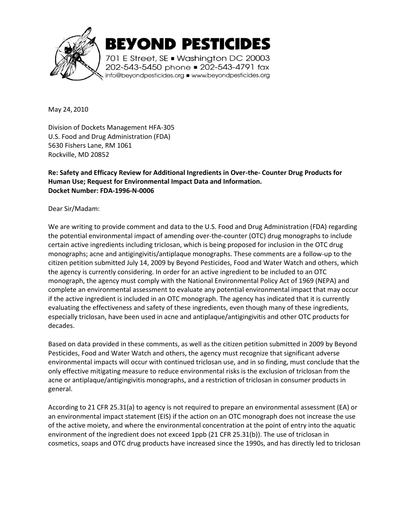

BEYOND PESTICIDES

701 E Street, SE . Washington DC 20003 202-543-5450 phone = 202-543-4791 fax info@beyondpesticides.org = www.beyondpesticides.org

May 24, 2010

Division of Dockets Management HFA-305 U.S. Food and Drug Administration (FDA) 5630 Fishers Lane, RM 1061 Rockville, MD 20852

# **Re: Safety and Efficacy Review for Additional Ingredients in Over-the- Counter Drug Products for Human Use; Request for Environmental Impact Data and Information. Docket Number: FDA-1996-N-0006**

Dear Sir/Madam:

We are writing to provide comment and data to the U.S. Food and Drug Administration (FDA) regarding the potential environmental impact of amending over-the-counter (OTC) drug monographs to include certain active ingredients including triclosan, which is being proposed for inclusion in the OTC drug monographs; acne and antigingivitis/antiplaque monographs. These comments are a follow-up to the citizen petition submitted July 14, 2009 by Beyond Pesticides, Food and Water Watch and others, which the agency is currently considering. In order for an active ingredient to be included to an OTC monograph, the agency must comply with the National Environmental Policy Act of 1969 (NEPA) and complete an environmental assessment to evaluate any potential environmental impact that may occur if the active ingredient is included in an OTC monograph. The agency has indicated that it is currently evaluating the effectiveness and safety of these ingredients, even though many of these ingredients, especially triclosan, have been used in acne and antiplaque/antigingivitis and other OTC products for decades.

Based on data provided in these comments, as well as the citizen petition submitted in 2009 by Beyond Pesticides, Food and Water Watch and others, the agency must recognize that significant adverse environmental impacts will occur with continued triclosan use, and in so finding, must conclude that the only effective mitigating measure to reduce environmental risks is the exclusion of triclosan from the acne or antiplaque/antigingivitis monographs, and a restriction of triclosan in consumer products in general.

According to 21 CFR 25.31(a) to agency is not required to prepare an environmental assessment (EA) or an environmental impact statement (EIS) if the action on an OTC monograph does not increase the use of the active moiety, and where the environmental concentration at the point of entry into the aquatic environment of the ingredient does not exceed 1ppb (21 CFR 25.31(b)). The use of triclosan in cosmetics, soaps and OTC drug products have increased since the 1990s, and has directly led to triclosan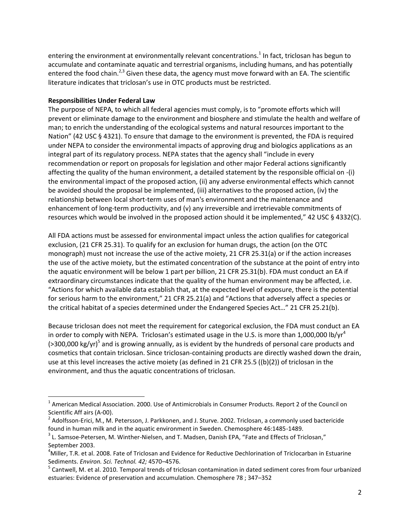entering the environment at environmentally relevant concentrations.<sup>1</sup> In fact, triclosan has begun to accumulate and contaminate aquatic and terrestrial organisms, including humans, and has potentially entered the food chain.<sup>2,3</sup> Given these data, the agency must move forward with an EA. The scientific literature indicates that triclosan's use in OTC products must be restricted.

### **Responsibilities Under Federal Law**

 $\overline{\phantom{a}}$ 

The purpose of NEPA, to which all federal agencies must comply, is to "promote efforts which will prevent or eliminate damage to the environment and biosphere and stimulate the health and welfare of man; to enrich the understanding of the ecological systems and natural resources important to the Nation" (42 USC § 4321). To ensure that damage to the environment is prevented, the FDA is required under NEPA to consider the environmental impacts of approving drug and biologics applications as an integral part of its regulatory process. NEPA states that the agency shall "include in every recommendation or report on proposals for legislation and other major Federal actions significantly affecting the quality of the human environment, a detailed statement by the responsible official on -(i) the environmental impact of the proposed action, (ii) any adverse environmental effects which cannot be avoided should the proposal be implemented, (iii) alternatives to the proposed action, (iv) the relationship between local short-term uses of man's environment and the maintenance and enhancement of long-term productivity, and (v) any irreversible and irretrievable commitments of resources which would be involved in the proposed action should it be implemented," 42 USC § 4332(C).

All FDA actions must be assessed for environmental impact unless the action qualifies for categorical exclusion, (21 CFR 25.31). To qualify for an exclusion for human drugs, the action (on the OTC monograph) must not increase the use of the active moiety, 21 CFR 25.31(a) or if the action increases the use of the active moiety, but the estimated concentration of the substance at the point of entry into the aquatic environment will be below 1 part per billion, 21 CFR 25.31(b). FDA must conduct an EA if extraordinary circumstances indicate that the quality of the human environment may be affected, i.e. "Actions for which available data establish that, at the expected level of exposure, there is the potential for serious harm to the environment," 21 CFR 25.21(a) and "Actions that adversely affect a species or the critical habitat of a species determined under the Endangered Species Act…" 21 CFR 25.21(b).

Because triclosan does not meet the requirement for categorical exclusion, the FDA must conduct an EA in order to comply with NEPA. Triclosan's estimated usage in the U.S. is more than 1,000,000 lb/yr<sup>4</sup> (>300,000 kg/yr)<sup>5</sup> and is growing annually, as is evident by the hundreds of personal care products and cosmetics that contain triclosan. Since triclosan-containing products are directly washed down the drain, use at this level increases the active moiety (as defined in 21 CFR 25.5 ((b)(2)) of triclosan in the environment, and thus the aquatic concentrations of triclosan.

 $^1$  American Medical Association. 2000. Use of Antimicrobials in Consumer Products. Report 2 of the Council on Scientific Aff airs (A-00).

 $^2$  Adolfsson-Erici, M., M. Petersson, J. Parkkonen, and J. Sturve. 2002. Triclosan, a commonly used bactericide found in human milk and in the aquatic environment in Sweden. Chemosphere 46:1485-1489.

 $^3$  L. Samsoe-Petersen, M. Winther-Nielsen, and T. Madsen, Danish EPA, "Fate and Effects of Triclosan," September 2003.

<sup>4</sup>Miller, T.R. et al. 2008. Fate of Triclosan and Evidence for Reductive Dechlorination of Triclocarban in Estuarine Sediments. *Environ. Sci. Technol. 42;* 4570–4576.

<sup>&</sup>lt;sup>5</sup> Cantwell, M. et al. 2010. Temporal trends of triclosan contamination in dated sediment cores from four urbanized estuaries: Evidence of preservation and accumulation. Chemosphere 78 ; 347–352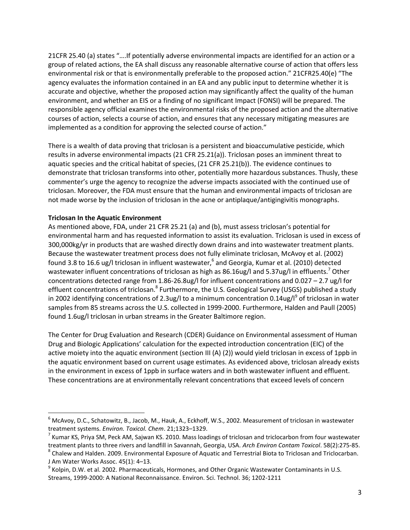21CFR 25.40 (a) states "….If potentially adverse environmental impacts are identified for an action or a group of related actions, the EA shall discuss any reasonable alternative course of action that offers less environmental risk or that is environmentally preferable to the proposed action." 21CFR25.40(e) "The agency evaluates the information contained in an EA and any public input to determine whether it is accurate and objective, whether the proposed action may significantly affect the quality of the human environment, and whether an EIS or a finding of no significant Impact (FONSI) will be prepared. The responsible agency official examines the environmental risks of the proposed action and the alternative courses of action, selects a course of action, and ensures that any necessary mitigating measures are implemented as a condition for approving the selected course of action."

There is a wealth of data proving that triclosan is a persistent and bioaccumulative pesticide, which results in adverse environmental impacts (21 CFR 25.21(a)). Triclosan poses an imminent threat to aquatic species and the critical habitat of species, (21 CFR 25.21(b)). The evidence continues to demonstrate that triclosan transforms into other, potentially more hazardous substances. Thusly, these commenter's urge the agency to recognize the adverse impacts associated with the continued use of triclosan. Moreover, the FDA must ensure that the human and environmental impacts of triclosan are not made worse by the inclusion of triclosan in the acne or antiplaque/antigingivitis monographs.

### **Triclosan In the Aquatic Environment**

 $\overline{\phantom{a}}$ 

As mentioned above, FDA, under 21 CFR 25.21 (a) and (b), must assess triclosan's potential for environmental harm and has requested information to assist its evaluation. Triclosan is used in excess of 300,000kg/yr in products that are washed directly down drains and into wastewater treatment plants. Because the wastewater treatment process does not fully eliminate triclosan, McAvoy et al. (2002) found 3.8 to 16.6 ug/l triclosan in influent wastewater,<sup>6</sup> and Georgia, Kumar et al. (2010) detected wastewater influent concentrations of triclosan as high as 86.16ug/l and 5.37ug/l in effluents.<sup>7</sup> Other concentrations detected range from 1.86-26.8ug/l for influent concentrations and 0.027 – 2.7 ug/l for effluent concentrations of triclosan.<sup>8</sup> Furthermore, the U.S. Geological Survey (USGS) published a study in 2002 identifying concentrations of 2.3ug/l to a minimum concentration 0.14ug/l<sup>9</sup> of triclosan in water samples from 85 streams across the U.S. collected in 1999-2000. Furthermore, Halden and Paull (2005) found 1.6ug/l triclosan in urban streams in the Greater Baltimore region.

The Center for Drug Evaluation and Research (CDER) Guidance on Environmental assessment of Human Drug and Biologic Applications' calculation for the expected introduction concentration (EIC) of the active moiety into the aquatic environment (section III (A) (2)) would yield triclosan in excess of 1ppb in the aquatic environment based on current usage estimates. As evidenced above, triclosan already exists in the environment in excess of 1ppb in surface waters and in both wastewater influent and effluent. These concentrations are at environmentally relevant concentrations that exceed levels of concern

<sup>6</sup> McAvoy, D.C., Schatowitz, B., Jacob, M., Hauk, A., Eckhoff, W.S., 2002. Measurement of triclosan in wastewater treatment systems. *Environ. Toxicol. Chem*. 21;1323–1329.

 $^7$  Kumar KS, Priya SM, Peck AM, Sajwan KS. 2010. Mass loadings of triclosan and triclocarbon from four wastewater treatment plants to three rivers and landfill in Savannah, Georgia, USA. *Arch Environ Contam Toxicol*. 58(2):275-85.

 $^8$  Chalew and Halden. 2009. Environmental Exposure of Aquatic and Terrestrial Biota to Triclosan and Triclocarban. J Am Water Works Assoc. 45(1): 4–13.

 $^9$  Kolpin, D.W. et al. 2002. Pharmaceuticals, Hormones, and Other Organic Wastewater Contaminants in U.S. Streams, 1999-2000: A National Reconnaissance. Environ. Sci. Technol. 36; 1202-1211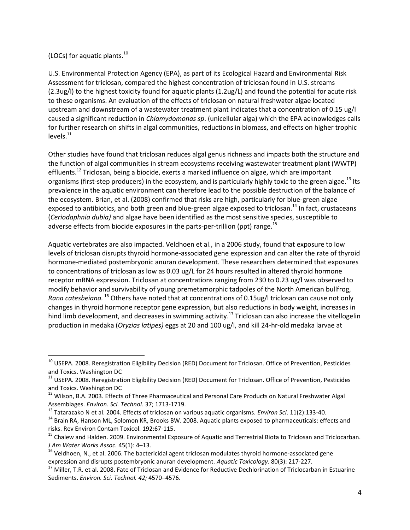## (LOCs) for aquatic plants.<sup>10</sup>

 $\overline{\phantom{a}}$ 

U.S. Environmental Protection Agency (EPA), as part of its Ecological Hazard and Environmental Risk Assessment for triclosan, compared the highest concentration of triclosan found in U.S. streams (2.3ug/l) to the highest toxicity found for aquatic plants (1.2ug/L) and found the potential for acute risk to these organisms. An evaluation of the effects of triclosan on natural freshwater algae located upstream and downstream of a wastewater treatment plant indicates that a concentration of 0.15 ug/l caused a significant reduction in *Chlamydomonas sp*. (unicellular alga) which the EPA acknowledges calls for further research on shifts in algal communities, reductions in biomass, and effects on higher trophic  $levels.<sup>11</sup>$ 

Other studies have found that triclosan reduces algal genus richness and impacts both the structure and the function of algal communities in stream ecosystems receiving wastewater treatment plant (WWTP) effluents.<sup>12</sup> Triclosan, being a biocide, exerts a marked influence on algae, which are important organisms (first-step producers) in the ecosystem, and is particularly highly toxic to the green algae.<sup>13</sup> Its prevalence in the aquatic environment can therefore lead to the possible destruction of the balance of the ecosystem. Brian, et al. (2008) confirmed that risks are high, particularly for blue-green algae exposed to antibiotics, and both green and blue-green algae exposed to triclosan.<sup>14</sup> In fact, crustaceans (*Ceriodaphnia dubia)* and algae have been identified as the most sensitive species, susceptible to adverse effects from biocide exposures in the parts-per-trillion (ppt) range.<sup>15</sup>

Aquatic vertebrates are also impacted. Veldhoen et al., in a 2006 study, found that exposure to low levels of triclosan disrupts thyroid hormone-associated gene expression and can alter the rate of thyroid hormone-mediated postembryonic anuran development. These researchers determined that exposures to concentrations of triclosan as low as 0.03 ug/L for 24 hours resulted in altered thyroid hormone receptor mRNA expression. Triclosan at concentrations ranging from 230 to 0.23 ug/l was observed to modify behavior and survivability of young premetamorphic tadpoles of the North American bullfrog, *Rana catesbeiana.* <sup>16</sup> Others have noted that at concentrations of 0.15ug/l triclosan can cause not only changes in thyroid hormone receptor gene expression, but also reductions in body weight, increases in hind limb development, and decreases in swimming activity.<sup>17</sup> Triclosan can also increase the vitellogelin production in medaka (*Oryzias latipes)* eggs at 20 and 100 ug/l, and kill 24-hr-old medaka larvae at

<sup>&</sup>lt;sup>10</sup> USEPA. 2008. Reregistration Eligibility Decision (RED) Document for Triclosan. Office of Prevention, Pesticides and Toxics. Washington DC

<sup>&</sup>lt;sup>11</sup> USEPA. 2008. Reregistration Eligibility Decision (RED) Document for Triclosan. Office of Prevention, Pesticides and Toxics. Washington DC

<sup>&</sup>lt;sup>12</sup> Wilson, B.A. 2003. Effects of Three Pharmaceutical and Personal Care Products on Natural Freshwater Algal Assemblages. *Environ. Sci. Technol*. 37; 1713-1719.

<sup>13</sup> Tatarazako N et al. 2004. Effects of triclosan on various aquatic organisms. *Environ Sci*. 11(2):133-40.

<sup>&</sup>lt;sup>14</sup> Brain RA, Hanson ML, Solomon KR, Brooks BW. 2008. Aquatic plants exposed to pharmaceuticals: effects and risks. Rev Environ Contam Toxicol. 192:67-115.

<sup>&</sup>lt;sup>15</sup> Chalew and Halden. 2009. Environmental Exposure of Aquatic and Terrestrial Biota to Triclosan and Triclocarban. *J Am Water Works Assoc.* 45(1): 4–13.

 $16$  Veldhoen, N., et al. 2006. The bactericidal agent triclosan modulates thyroid hormone-associated gene expression and disrupts postembryonic anuran development. *Aquatic Toxicology*. 80(3): 217-227.

<sup>&</sup>lt;sup>17</sup> Miller, T.R. et al. 2008. Fate of Triclosan and Evidence for Reductive Dechlorination of Triclocarban in Estuarine Sediments. *Environ. Sci. Technol. 42;* 4570–4576.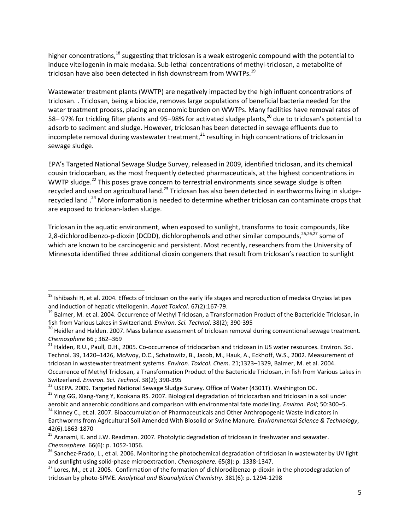higher concentrations,<sup>18</sup> suggesting that triclosan is a weak estrogenic compound with the potential to induce vitellogenin in male medaka. Sub-lethal concentrations of methyl-triclosan, a metabolite of triclosan have also been detected in fish downstream from WWTPs.<sup>19</sup>

Wastewater treatment plants (WWTP) are negatively impacted by the high influent concentrations of triclosan. . Triclosan, being a biocide, removes large populations of beneficial bacteria needed for the water treatment process, placing an economic burden on WWTPs. Many facilities have removal rates of 58–97% for trickling filter plants and 95–98% for activated sludge plants,<sup>20</sup> due to triclosan's potential to adsorb to sediment and sludge. However, triclosan has been detected in sewage effluents due to incomplete removal during wastewater treatment, $^{21}$  resulting in high concentrations of triclosan in sewage sludge.

EPA's Targeted National Sewage Sludge Survey, released in 2009, identified triclosan, and its chemical cousin triclocarban, as the most frequently detected pharmaceuticals, at the highest concentrations in WWTP sludge.<sup>22</sup> This poses grave concern to terrestrial environments since sewage sludge is often recycled and used on agricultural land.<sup>23</sup> Triclosan has also been detected in earthworms living in sludgerecycled land .<sup>24</sup> More information is needed to determine whether triclosan can contaminate crops that are exposed to triclosan-laden sludge.

Triclosan in the aquatic environment, when exposed to sunlight, transforms to toxic compounds, like 2,8-dichlorodibenzo-p-dioxin (DCDD), dichlorophenols and other similar compounds,<sup>25,26,27</sup> some of which are known to be carcinogenic and persistent. Most recently, researchers from the University of Minnesota identified three additional dioxin congeners that result from triclosan's reaction to sunlight

l

 $18$  Ishibashi H, et al. 2004. Effects of triclosan on the early life stages and reproduction of medaka Oryzias latipes and induction of hepatic vitellogenin. *Aquat Toxicol.* 67(2):167-79.

<sup>&</sup>lt;sup>19</sup> Balmer, M. et al. 2004. Occurrence of Methyl Triclosan, a Transformation Product of the Bactericide Triclosan, in fish from Various Lakes in Switzerland*. Environ. Sci. Technol*. 38(2); 390-395

<sup>&</sup>lt;sup>20</sup> Heidler and Halden. 2007. Mass balance assessment of triclosan removal during conventional sewage treatment. *Chemosphere* 66 ; 362–369

<sup>&</sup>lt;sup>21</sup> Halden, R.U., Paull, D.H., 2005. Co-occurrence of triclocarban and triclosan in US water resources. Environ. Sci. Technol. 39, 1420–1426, McAvoy, D.C., Schatowitz, B., Jacob, M., Hauk, A., Eckhoff, W.S., 2002. Measurement of triclosan in wastewater treatment systems. *Environ. Toxicol. Chem*. 21;1323–1329, Balmer, M. et al. 2004. Occurrence of Methyl Triclosan, a Transformation Product of the Bactericide Triclosan, in fish from Various Lakes in Switzerland*. Environ. Sci. Technol*. 38(2); 390-395

<sup>&</sup>lt;sup>22</sup> USEPA. 2009. Targeted National Sewage Sludge Survey. Office of Water (4301T). Washington DC.

<sup>&</sup>lt;sup>23</sup> Ying GG, Xiang-Yang Y, Kookana RS. 2007. Biological degradation of triclocarban and triclosan in a soil under aerobic and anaerobic conditions and comparison with environmental fate modelling. *Environ. Poll*; 50:300–5.

<sup>24</sup> Kinney C., et.al. 2007. Bioaccumulation of Pharmaceuticals and Other Anthropogenic Waste Indicators in Earthworms from Agricultural Soil Amended With Biosolid or Swine Manure*. Environmental Science & Technology*, 42(6).1863-1870

<sup>&</sup>lt;sup>25</sup> Aranami, K. and J.W. Readman. 2007. Photolytic degradation of triclosan in freshwater and seawater. *Chemosphere.* 66(6): p. 1052-1056.

<sup>&</sup>lt;sup>26</sup> Sanchez-Prado, L., et al. 2006. Monitoring the photochemical degradation of triclosan in wastewater by UV light and sunlight using solid-phase microextraction. *Chemosphere.* 65(8): p. 1338-1347.

<sup>&</sup>lt;sup>27</sup> Lores, M., et al. 2005. Confirmation of the formation of dichlorodibenzo-p-dioxin in the photodegradation of triclosan by photo-SPME. *Analytical and Bioanalytical Chemistry.* 381(6): p. 1294-1298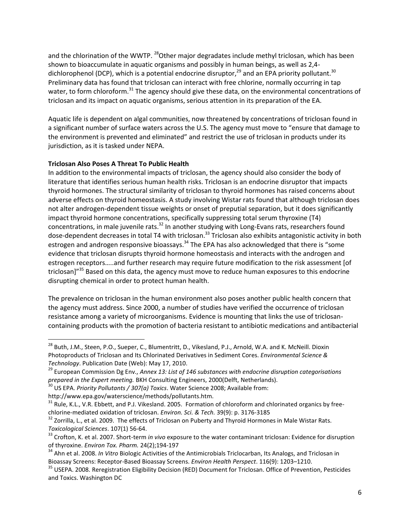and the chlorination of the WWTP. <sup>28</sup>Other major degradates include methyl triclosan, which has been shown to bioaccumulate in aquatic organisms and possibly in human beings, as well as 2,4 dichlorophenol (DCP), which is a potential endocrine disruptor,<sup>29</sup> and an EPA priority pollutant.<sup>30</sup> Preliminary data has found that triclosan can interact with free chlorine, normally occurring in tap water, to form chloroform.<sup>31</sup> The agency should give these data, on the environmental concentrations of triclosan and its impact on aquatic organisms, serious attention in its preparation of the EA.

Aquatic life is dependent on algal communities, now threatened by concentrations of triclosan found in a significant number of surface waters across the U.S. The agency must move to "ensure that damage to the environment is prevented and eliminated" and restrict the use of triclosan in products under its jurisdiction, as it is tasked under NEPA.

# **Triclosan Also Poses A Threat To Public Health**

In addition to the environmental impacts of triclosan, the agency should also consider the body of literature that identifies serious human health risks. Triclosan is an endocrine disruptor that impacts thyroid hormones. The structural similarity of triclosan to thyroid hormones has raised concerns about adverse effects on thyroid homeostasis. A study involving Wistar rats found that although triclosan does not alter androgen-dependent tissue weights or onset of preputial separation, but it does significantly impact thyroid hormone concentrations, specifically suppressing total serum thyroxine (T4) concentrations, in male juvenile rats.<sup>32</sup> In another studying with Long-Evans rats, researchers found dose-dependent decreases in total T4 with triclosan.<sup>33</sup> Triclosan also exhibits antagonistic activity in both estrogen and androgen responsive bioassays.<sup>34</sup> The EPA has also acknowledged that there is "some evidence that triclosan disrupts thyroid hormone homeostasis and interacts with the androgen and estrogen receptors.....and further research may require future modification to the risk assessment [of triclosan]"<sup>35</sup> Based on this data, the agency must move to reduce human exposures to this endocrine disrupting chemical in order to protect human health.

The prevalence on triclosan in the human environment also poses another public health concern that the agency must address. Since 2000, a number of studies have verified the occurrence of triclosan resistance among a variety of microorganisms. Evidence is mounting that links the use of triclosancontaining products with the promotion of bacteria resistant to antibiotic medications and antibacterial

 $\overline{\phantom{a}}$ 

<sup>&</sup>lt;sup>28</sup> Buth, J.M., Steen, P.O., Sueper, C., Blumentritt, D., Vikesland, P.J., Arnold, W.A. and K. McNeill. Dioxin Photoproducts of Triclosan and Its Chlorinated Derivatives in Sediment Cores. *Environmental Science & Technology*. Publication Date (Web): May 17, 2010.

<sup>29</sup> European Commission Dg Env., *Annex 13: List of 146 substances with endocrine disruption categorisations prepared in the Expert meeting.* BKH Consulting Engineers, 2000(Delft, Netherlands).

<sup>30</sup> US EPA. *Priority Pollutants / 307(a) Toxics*. Water Science 2008; Available from:

http://www.epa.gov/waterscience/methods/pollutants.htm.

 $31$  Rule, K.L., V.R. Ebbett, and P.J. Vikesland. 2005. Formation of chloroform and chlorinated organics by freechlorine-mediated oxidation of triclosan. *Environ. Sci. & Tech.* 39(9): p. 3176-3185

<sup>&</sup>lt;sup>32</sup> Zorrilla, L., et al. 2009. The effects of Triclosan on Puberty and Thyroid Hormones in Male Wistar Rats. *Toxicological Sciences*. 107(1) 56-64.

<sup>33</sup> Crofton, K. et al. 2007. Short-term *in vivo* exposure to the water contaminant triclosan: Evidence for disruption of thyroxine. *Environ Tox. Pharm.* 24(2);194-197

<sup>34</sup> Ahn et al. 2008. *In Vitro* Biologic Activities of the Antimicrobials Triclocarban, Its Analogs, and Triclosan in Bioassay Screens: Receptor-Based Bioassay Screens. *Environ Health Perspect*. 116(9): 1203–1210.

<sup>&</sup>lt;sup>35</sup> USEPA. 2008. Reregistration Eligibility Decision (RED) Document for Triclosan. Office of Prevention, Pesticides and Toxics. Washington DC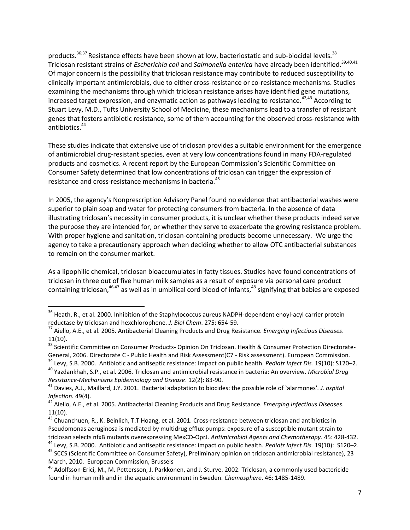products.<sup>36;37</sup> Resistance effects have been shown at low, bacteriostatic and sub-biocidal levels.<sup>38</sup> Triclosan resistant strains of *Escherichia coli* and *Salmonella enterica* have already been identified.39,40,41 Of major concern is the possibility that triclosan resistance may contribute to reduced susceptibility to clinically important antimicrobials, due to either cross-resistance or co-resistance mechanisms. Studies examining the mechanisms through which triclosan resistance arises have identified gene mutations, increased target expression, and enzymatic action as pathways leading to resistance.<sup>42,43</sup> According to Stuart Levy, M.D., Tufts University School of Medicine, these mechanisms lead to a transfer of resistant genes that fosters antibiotic resistance, some of them accounting for the observed cross-resistance with antibiotics.<sup>44</sup>

These studies indicate that extensive use of triclosan provides a suitable environment for the emergence of antimicrobial drug-resistant species, even at very low concentrations found in many FDA-regulated products and cosmetics. A recent report by the European Commission's Scientific Committee on Consumer Safety determined that low concentrations of triclosan can trigger the expression of resistance and cross-resistance mechanisms in bacteria.<sup>45</sup>

In 2005, the agency's Nonprescription Advisory Panel found no evidence that antibacterial washes were superior to plain soap and water for protecting consumers from bacteria. In the absence of data illustrating triclosan's necessity in consumer products, it is unclear whether these products indeed serve the purpose they are intended for, or whether they serve to exacerbate the growing resistance problem. With proper hygiene and sanitation, triclosan-containing products become unnecessary. We urge the agency to take a precautionary approach when deciding whether to allow OTC antibacterial substances to remain on the consumer market.

As a lipophilic chemical, triclosan bioaccumulates in fatty tissues. Studies have found concentrations of triclosan in three out of five human milk samples as a result of exposure via personal care product containing triclosan,<sup>46,47</sup> as well as in umbilical cord blood of infants,<sup>48</sup> signifying that babies are exposed

 $\overline{\phantom{a}}$ 

<sup>&</sup>lt;sup>36</sup> Heath, R., et al. 2000. Inhibition of the Staphylococcus aureus NADPH-dependent enoyl-acyl carrier protein reductase by triclosan and hexchlorophene. *J. Biol Chem*. 275: 654-59.

<sup>37</sup> Aiello, A.E., et al. 2005. Antibacterial Cleaning Products and Drug Resistance. *Emerging Infectious Diseases*. 11(10).

<sup>&</sup>lt;sup>38</sup> Scientific Committee on Consumer Products- Opinion On Triclosan. Health & Consumer Protection Directorate-General, 2006. Directorate C - Public Health and Risk Assessment(C7 - Risk assessment). European Commission.

<sup>39</sup> Levy, S.B. 2000. Antibiotic and antiseptic resistance: Impact on public health. *Pediatr Infect Dis.* 19(10): S120–2. <sup>40</sup> Yazdankhah, S.P., et al. 2006. Triclosan and antimicrobial resistance in bacteria: An overview. *Microbial Drug* 

*Resistance-Mechanisms Epidemiology and Disease*. 12(2): 83-90.

<sup>41</sup> Davies, A.J., Maillard, J.Y. 2001. Bacterial adaptation to biocides: the possible role of `alarmones'. *J. ospital Infection.* 49(4).

<sup>42</sup> Aiello, A.E., et al. 2005. Antibacterial Cleaning Products and Drug Resistance. *Emerging Infectious Diseases*. 11(10).

<sup>&</sup>lt;sup>43</sup> Chuanchuen, R., K. Beinlich, T.T Hoang, et al. 2001. Cross-resistance between triclosan and antibiotics in Pseudomonas aeruginosa is mediated by multidrug efflux pumps: exposure of a susceptible mutant strain to triclosan selects nfxB mutants overexpressing MexCD-OprJ. *Antimicrobial Agents and Chemotherapy*. 45: 428-432. <sup>44</sup> Levy, S.B. 2000. Antibiotic and antiseptic resistance: impact on public health. *Pediatr Infect Dis.* 19(10): S120–2. <sup>45</sup> SCCS (Scientific Committee on Consumer Safety), Preliminary opinion on triclosan antimicrobial resistance), 23 March, 2010. European Commission, Brussels

<sup>46</sup> Adolfsson-Erici, M., M. Pettersson, J. Parkkonen, and J. Sturve. 2002. Triclosan, a commonly used bactericide found in human milk and in the aquatic environment in Sweden. *Chemosphere*. 46: 1485-1489.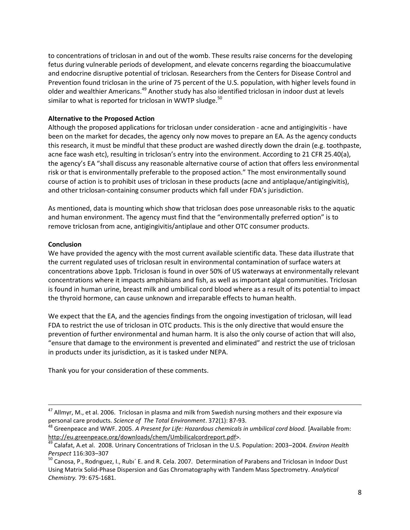to concentrations of triclosan in and out of the womb. These results raise concerns for the developing fetus during vulnerable periods of development, and elevate concerns regarding the bioaccumulative and endocrine disruptive potential of triclosan. Researchers from the Centers for Disease Control and Prevention found triclosan in the urine of 75 percent of the U.S. population, with higher levels found in older and wealthier Americans.<sup>49</sup> Another study has also identified triclosan in indoor dust at levels similar to what is reported for triclosan in WWTP sludge.<sup>50</sup>

### **Alternative to the Proposed Action**

Although the proposed applications for triclosan under consideration - acne and antigingivitis - have been on the market for decades, the agency only now moves to prepare an EA. As the agency conducts this research, it must be mindful that these product are washed directly down the drain (e.g. toothpaste, acne face wash etc), resulting in triclosan's entry into the environment. According to 21 CFR 25.40(a), the agency's EA "shall discuss any reasonable alternative course of action that offers less environmental risk or that is environmentally preferable to the proposed action." The most environmentally sound course of action is to prohibit uses of triclosan in these products (acne and antiplaque/antigingivitis), and other triclosan-containing consumer products which fall under FDA's jurisdiction.

As mentioned, data is mounting which show that triclosan does pose unreasonable risks to the aquatic and human environment. The agency must find that the "environmentally preferred option" is to remove triclosan from acne, antigingivitis/antiplaue and other OTC consumer products.

#### **Conclusion**

 $\overline{\phantom{a}}$ 

We have provided the agency with the most current available scientific data. These data illustrate that the current regulated uses of triclosan result in environmental contamination of surface waters at concentrations above 1ppb. Triclosan is found in over 50% of US waterways at environmentally relevant concentrations where it impacts amphibians and fish, as well as important algal communities. Triclosan is found in human urine, breast milk and umbilical cord blood where as a result of its potential to impact the thyroid hormone, can cause unknown and irreparable effects to human health.

We expect that the EA, and the agencies findings from the ongoing investigation of triclosan, will lead FDA to restrict the use of triclosan in OTC products. This is the only directive that would ensure the prevention of further environmental and human harm. It is also the only course of action that will also, "ensure that damage to the environment is prevented and eliminated" and restrict the use of triclosan in products under its jurisdiction, as it is tasked under NEPA.

Thank you for your consideration of these comments.

<sup>&</sup>lt;sup>47</sup> Allmyr, M., et al. 2006. Triclosan in plasma and milk from Swedish nursing mothers and their exposure via personal care products. *Science of The Total Environment*. 372(1): 87-93.

<sup>&</sup>lt;sup>48</sup> Greenpeace and WWF. 2005. A Present for Life: Hazardous chemicals in umbilical cord blood. [Available from: [http://eu.greenpeace.org/downloads/chem/Umbilicalcordreport.pdf>](http://eu.greenpeace.org/downloads/chem/Umbilicalcordreport.pdf).

<sup>49</sup> Calafat, A.et al. 2008. Urinary Concentrations of Triclosan in the U.S. Population: 2003–2004. *Environ Health Perspect* 116:303–307

<sup>&</sup>lt;sup>50</sup> Canosa, P., Rodriguez, I., Rubi<sup>'</sup> E. and R. Cela. 2007. Determination of Parabens and Triclosan in Indoor Dust Using Matrix Solid-Phase Dispersion and Gas Chromatography with Tandem Mass Spectrometry. *Analytical Chemistry.* 79: 675-1681.